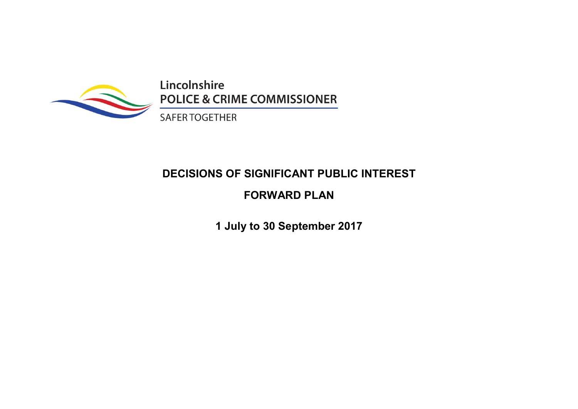

Lincolnshire **POLICE & CRIME COMMISSIONER** 

**SAFER TOGETHER** 

# **DECISIONS OF SIGNIFICANT PUBLIC INTEREST**

## **FORWARD PLAN**

**1 July to 30 September 2017**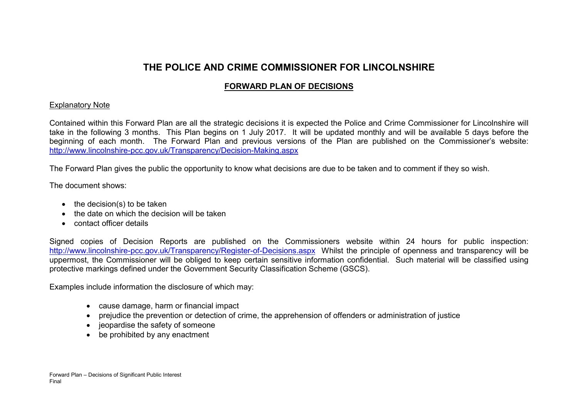### **THE POLICE AND CRIME COMMISSIONER FOR LINCOLNSHIRE**

### **FORWARD PLAN OF DECISIONS**

#### Explanatory Note

Contained within this Forward Plan are all the strategic decisions it is expected the Police and Crime Commissioner for Lincolnshire will take in the following 3 months. This Plan begins on 1 July 2017. It will be updated monthly and will be available 5 days before the beginning of each month. The Forward Plan and previous versions of the Plan are published on the Commissioner's website: http://www.lincolnshire-pcc.gov.uk/Transparency/Decision-Making.aspx

The Forward Plan gives the public the opportunity to know what decisions are due to be taken and to comment if they so wish.

The document shows:

- $\bullet$  the decision(s) to be taken
- the date on which the decision will be taken
- contact officer details

Signed copies of Decision Reports are published on the Commissioners website within 24 hours for public inspection: http://www.lincolnshire-pcc.gov.uk/Transparency/Register-of-Decisions.aspx Whilst the principle of openness and transparency will be uppermost, the Commissioner will be obliged to keep certain sensitive information confidential. Such material will be classified using protective markings defined under the Government Security Classification Scheme (GSCS).

Examples include information the disclosure of which may:

- cause damage, harm or financial impact
- prejudice the prevention or detection of crime, the apprehension of offenders or administration of justice
- jeopardise the safety of someone
- be prohibited by any enactment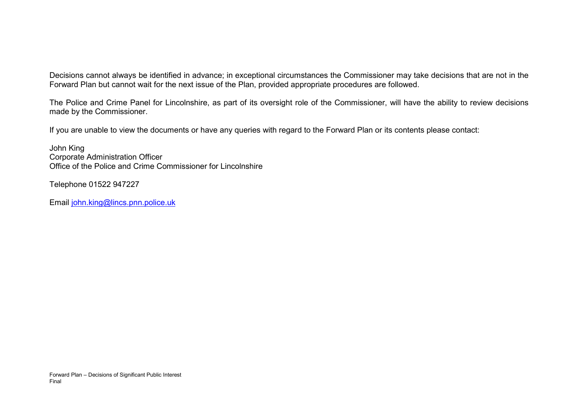Decisions cannot always be identified in advance; in exceptional circumstances the Commissioner may take decisions that are not in the Forward Plan but cannot wait for the next issue of the Plan, provided appropriate procedures are followed.

The Police and Crime Panel for Lincolnshire, as part of its oversight role of the Commissioner, will have the ability to review decisions made by the Commissioner.

If you are unable to view the documents or have any queries with regard to the Forward Plan or its contents please contact:

John King Corporate Administration Officer Office of the Police and Crime Commissioner for Lincolnshire

Telephone 01522 947227

Email john.king@lincs.pnn.police.uk